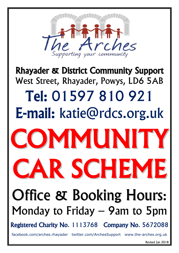

# Rhayader & District Community Support West Street, Rhayader, Powys, LD6 5AB Tel: 01597 810 921 E-mail: [katie@rdcs.org.uk](mailto:alison@rdcs.org.uk)



# Office & Booking Hours: Monday to Friday – 9am to 5pm

Registered Charity No. 1113768 Company No. 5672088

[facebook.com/arches.rhayader](http://www.facebook.com/arches.rhayader) twitter.com/ArchesSupport www.the-arches.org.uk

Revised Jan 2018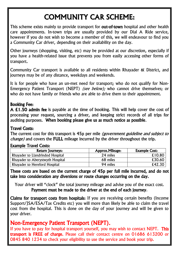# COMMUNITY CAR SCHEME:

This scheme exists mainly to provide transport for **out-of-town** hospital and other health care appointments. In-town trips are usually provided by our Dial A Ride service, however if you do not wish to become a member of this, we will endeavour to find you a Community Car driver, depending on their availability on the day.

Other journeys (shopping, visiting, etc) may be provided at our discretion, especially if you have a health-related issue that prevents you from easily accessing other forms of transport.

Community Car transport is available to all residents within Rhayader & District, and journeys may be of any distance, weekdays and weekends.

It is for people who have an un-met need for transport; who do not qualify for Non-Emergency Patient Transport (NEPT) *(see below);* who cannot drive themselves; or who do not have family or friends who are able to drive them to their appointment.

#### Booking Fee:

A £1.50 admin fee is payable at the time of booking. This will help cover the cost of processing your request, sourcing a driver, and keeping strict records of all trips for auditing purposes. When booking please give us as much notice as possible.

#### Travel Costs:

The current cost for this transport is 45p per mile *(government guideline and subject to* change) and covers the FULL mileage incurred by the driver throughout the trip.

#### Example Travel Costs:

| <b>Return Journeys:</b>          | Approx. Mileage: | <b>Example Cost:</b> |
|----------------------------------|------------------|----------------------|
| Rhayader to Llandrindod Hospital | 24 miles         | £10.80               |
| Rhayader to Aberystwyth Hospital | 68 miles         | £30.60               |
| Rhayader to Hereford Hospital    | 94 miles         | £42.30               |

These costs are based on the current charge of 45p per full mile incurred, and do not take into consideration any diversions or route changes occurring on the day.

Your driver will "clock" the total journey mileage and advise you of the exact cost. Payment must be made to the driver at the end of each journey.

Claims for transport costs from hospitals: If you are receiving certain benefits (Income Support/JSA/ESA/Tax Credits etc) you will more than likely be able to claim the travel cost from the hospital. This is done on the day of your journey and will be given to your driver.

#### Non-Emergency Patient Transport (NEPT).

If you have to pay for hospital transport yourself, you may wish to contact NEPT. This transport is FREE of charge. Please call their contact centre on 01686 613200 or 0845 840 1234 to check your eligibility to use the service and book your trip.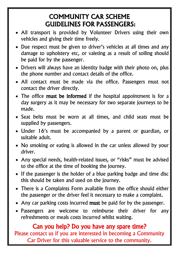## COMMUNITY CAR SCHEME GUIDELINES FOR PASSENGERS:

- All transport is provided by Volunteer Drivers using their own vehicles and giving their time freely.
- Due respect must be given to driver's vehicles at all times and any damage to upholstery etc, or valeting as a result of soiling should be paid for by the passenger.
- Drivers will always have an identity badge with their photo on, plus the phone number and contact details of the office.
- All contact must be made via the office. Passengers must not contact the driver directly.
- The office must be informed if the hospital appointment is for a day surgery as it may be necessary for two separate journeys to be made.
- Seat belts must be worn at all times, and child seats must be supplied by passengers.
- Under 16's must be accompanied by a parent or guardian, or suitable adult.
- No smoking or eating is allowed in the car unless allowed by your driver.
- Any special needs, health-related issues, or "risks" must be advised to the office at the time of booking the journey.
- If the passenger is the holder of a blue parking badge and time disc this should be taken and used on the journey.
- There is a Complaints Form available from the office should either the passenger or the driver feel it necessary to make a complaint.
- Any car parking costs incurred must be paid for by the passenger.
- Passengers are welcome to reimburse their driver for any refreshments or meals costs incurred whilst waiting.

#### Can you help? Do you have any spare time?

Please contact us if you are interested in becoming a Community Car Driver for this valuable service to the community.